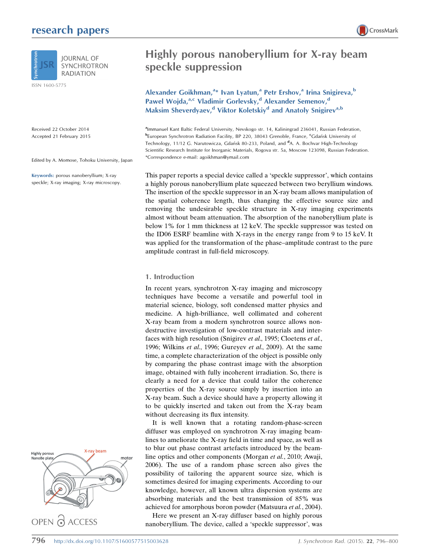## research papers



**SYNCHROTRON RADIATION** 

ISSN 1600-5775

Received 22 October 2014 Accepted 21 February 2015

Edited by A. Momose, Tohoku University, Japan

Keywords: porous nanoberyllium; X-ray speckle; X-ray imaging; X-ray microscopy.





# Highly porous nanoberyllium for X-ray beam speckle suppression

Alexander Goikhman,<sup>a\*</sup> Ivan Lyatun,<sup>a</sup> Petr Ershov,<sup>a</sup> Irina Snigireva,<sup>b</sup> Pawel Wojda,<sup>a,c</sup> Vladimir Gorlevsky,<sup>d</sup> Alexander Semenov,<sup>d</sup> Maksim Sheverdyaev,<sup>d</sup> Viktor Koletskiy<sup>d</sup> and Anatoly Snigirev<sup>a,b</sup>

<sup>a</sup>Immanuel Kant Baltic Federal University, Nevskogo str. 14, Kaliningrad 236041, Russian Federation, bEuropean Synchrotron Radiation Facility, BP 220, 38043 Grenoble, France, <sup>c</sup>Gdańsk University of Technology, 11/12 G. Narutowicza, Gdańsk 80-233, Poland, and <sup>d</sup>A. A. Bochvar High-Technology Scientific Research Institute for Inorganic Materials, Rogova str. 5a, Moscow 123098, Russian Federation. \*Correspondence e-mail: agoikhman@ymail.com

This paper reports a special device called a 'speckle suppressor', which contains a highly porous nanoberyllium plate squeezed between two beryllium windows. The insertion of the speckle suppressor in an X-ray beam allows manipulation of the spatial coherence length, thus changing the effective source size and removing the undesirable speckle structure in X-ray imaging experiments almost without beam attenuation. The absorption of the nanoberyllium plate is below 1% for 1 mm thickness at 12 keV. The speckle suppressor was tested on the ID06 ESRF beamline with X-rays in the energy range from 9 to 15 keV. It was applied for the transformation of the phase–amplitude contrast to the pure amplitude contrast in full-field microscopy.

#### 1. Introduction

In recent years, synchrotron X-ray imaging and microscopy techniques have become a versatile and powerful tool in material science, biology, soft condensed matter physics and medicine. A high-brilliance, well collimated and coherent X-ray beam from a modern synchrotron source allows nondestructive investigation of low-contrast materials and interfaces with high resolution (Snigirev et al., 1995; Cloetens et al., 1996; Wilkins et al., 1996; Gureyev et al., 2009). At the same time, a complete characterization of the object is possible only by comparing the phase contrast image with the absorption image, obtained with fully incoherent irradiation. So, there is clearly a need for a device that could tailor the coherence properties of the X-ray source simply by insertion into an X-ray beam. Such a device should have a property allowing it to be quickly inserted and taken out from the X-ray beam without decreasing its flux intensity.

It is well known that a rotating random-phase-screen diffuser was employed on synchrotron X-ray imaging beamlines to ameliorate the X-ray field in time and space, as well as to blur out phase contrast artefacts introduced by the beamline optics and other components (Morgan et al., 2010; Awaji, 2006). The use of a random phase screen also gives the possibility of tailoring the apparent source size, which is sometimes desired for imaging experiments. According to our knowledge, however, all known ultra dispersion systems are absorbing materials and the best transmission of 85% was achieved for amorphous boron powder (Matsuura et al., 2004).

Here we present an X-ray diffuser based on highly porous nanoberyllium. The device, called a 'speckle suppressor', was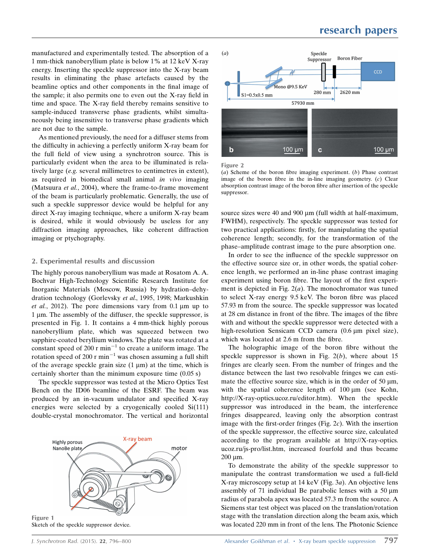manufactured and experimentally tested. The absorption of a 1 mm-thick nanoberyllium plate is below 1% at 12 keV X-ray energy. Inserting the speckle suppressor into the X-ray beam results in eliminating the phase artefacts caused by the beamline optics and other components in the final image of the sample; it also permits one to even out the X-ray field in time and space. The X-ray field thereby remains sensitive to sample-induced transverse phase gradients, whilst simultaneously being insensitive to transverse phase gradients which are not due to the sample.

As mentioned previously, the need for a diffuser stems from the difficulty in achieving a perfectly uniform X-ray beam for the full field of view using a synchrotron source. This is particularly evident when the area to be illuminated is relatively large (e.g. several millimetres to centimetres in extent), as required in biomedical small animal in vivo imaging (Matsuura *et al.*, 2004), where the frame-to-frame movement of the beam is particularly problematic. Generally, the use of such a speckle suppressor device would be helpful for any direct X-ray imaging technique, where a uniform X-ray beam is desired, while it would obviously be useless for any diffraction imaging approaches, like coherent diffraction imaging or ptychography.

### 2. Experimental results and discussion

The highly porous nanoberyllium was made at Rosatom A. A. Bochvar High-Technology Scientific Research Institute for Inorganic Materials (Moscow, Russia) by hydration–dehydration technology (Gorlevsky et al., 1995, 1998; Markushkin et al., 2012). The pore dimensions vary from  $0.1 \mu m$  up to 1 µm. The assembly of the diffuser, the speckle suppressor, is presented in Fig. 1. It contains a 4 mm-thick highly porous nanoberyllium plate, which was squeezed between two sapphire-coated beryllium windows. The plate was rotated at a constant speed of 200  $r \text{ min}^{-1}$  to create a uniform image. The rotation speed of 200 r min<sup>-1</sup> was chosen assuming a full shift of the average speckle grain size  $(1 \mu m)$  at the time, which is certainly shorter than the minimum exposure time (0.05 s)

The speckle suppressor was tested at the Micro Optics Test Bench on the ID06 beamline of the ESRF. The beam was produced by an in-vacuum undulator and specified X-ray energies were selected by a cryogenically cooled Si(111) double-crystal monochromator. The vertical and horizontal







Figure 2

(a) Scheme of the boron fibre imaging experiment.  $(b)$  Phase contrast image of the boron fibre in the in-line imaging geometry.  $(c)$  Clear absorption contrast image of the boron fibre after insertion of the speckle suppressor.

source sizes were 40 and 900  $\mu$ m (full width at half-maximum, FWHM), respectively. The speckle suppressor was tested for two practical applications: firstly, for manipulating the spatial coherence length; secondly, for the transformation of the phase–amplitude contrast image to the pure absorption one.

In order to see the influence of the speckle suppressor on the effective source size or, in other words, the spatial coherence length, we performed an in-line phase contrast imaging experiment using boron fibre. The layout of the first experiment is depicted in Fig.  $2(a)$ . The monochromator was tuned to select X-ray energy 9.5 keV. The boron fibre was placed 57.93 m from the source. The speckle suppressor was located at 28 cm distance in front of the fibre. The images of the fibre with and without the speckle suppressor were detected with a high-resolution Sensicam CCD camera (0.6 µm pixel size), which was located at 2.6 m from the fibre.

The holographic image of the boron fibre without the speckle suppressor is shown in Fig.  $2(b)$ , where about 15 fringes are clearly seen. From the number of fringes and the distance between the last two resolvable fringes we can estimate the effective source size, which is in the order of 50  $\mu$ m, with the spatial coherence length of  $100 \mu m$  (see Kohn, http://X-ray-optics.ucoz.ru/editor.htm). When the speckle suppressor was introduced in the beam, the interference fringes disappeared, leaving only the absorption contrast image with the first-order fringes (Fig. 2c). With the insertion of the speckle suppressor, the effective source size, calculated according to the program available at http://X-ray-optics. ucoz.ru/js-pro/list.htm, increased fourfold and thus became 200 um.

To demonstrate the ability of the speckle suppressor to manipulate the contrast transformation we used a full-field X-ray microscopy setup at 14 keV (Fig. 3a). An objective lens assembly of 71 individual Be parabolic lenses with a 50  $\mu$ m radius of parabola apex was located 57.3 m from the source. A Siemens star test object was placed on the translation/rotation stage with the translation direction along the beam axis, which was located 220 mm in front of the lens. The Photonic Science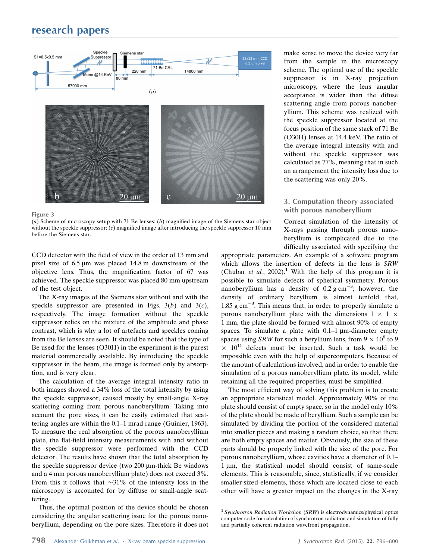## research papers





Figure 3

(a) Scheme of microscopy setup with 71 Be lenses;  $(b)$  magnified image of the Siemens star object without the speckle suppressor;  $(c)$  magnified image after introducing the speckle suppressor 10 mm before the Siemens star.

CCD detector with the field of view in the order of 13 mm and pixel size of  $6.5 \mu m$  was placed 14.8 m downstream of the objective lens. Thus, the magnification factor of 67 was achieved. The speckle suppressor was placed 80 mm upstream of the test object.

The X-ray images of the Siemens star without and with the speckle suppressor are presented in Figs.  $3(b)$  and  $3(c)$ , respectively. The image formation without the speckle suppressor relies on the mixture of the amplitude and phase contrast, which is why a lot of artefacts and speckles coming from the Be lenses are seen. It should be noted that the type of Be used for the lenses (O30H) in the experiment is the purest material commercially available. By introducing the speckle suppressor in the beam, the image is formed only by absorption, and is very clear.

The calculation of the average integral intensity ratio in both images showed a 34% loss of the total intensity by using the speckle suppressor, caused mostly by small-angle X-ray scattering coming from porous nanoberyllium. Taking into account the pore sizes, it can be easily estimated that scattering angles are within the 0.1–1 mrad range (Guinier, 1963). To measure the real absorption of the porous nanoberyllium plate, the flat-field intensity measurements with and without the speckle suppressor were performed with the CCD detector. The results have shown that the total absorption by the speckle suppressor device (two  $200 \mu m$ -thick Be windows and a 4 mm porous nanoberyllium plate) does not exceed 3%. From this it follows that  $\sim$ 31% of the intensity loss in the microscopy is accounted for by diffuse or small-angle scattering.

Thus, the optimal position of the device should be chosen considering the angular scattering issue for the porous nanoberyllium, depending on the pore sizes. Therefore it does not make sense to move the device very far from the sample in the microscopy scheme. The optimal use of the speckle suppressor is in X-ray projection microscopy, where the lens angular acceptance is wider than the difuse scattering angle from porous nanoberyllium. This scheme was realized with the speckle suppressor located at the focus position of the same stack of 71 Be (O30H) lenses at 14.4 keV. The ratio of the average integral intensity with and without the speckle suppressor was calculated as 77%, meaning that in such an arrangement the intensity loss due to the scattering was only 20%.

### 3. Computation theory associated with porous nanoberyllium

Correct simulation of the intensity of X-rays passing through porous nanoberyllium is complicated due to the difficulty associated with specifying the

appropriate parameters. An example of a software program which allows the insertion of defects in the lens is SRW (Chubar *et al.*, 2002).<sup>1</sup> With the help of this program it is possible to simulate defects of spherical symmetry. Porous nanoberyllium has a density of  $0.2 \text{ g cm}^{-3}$ ; however, the density of ordinary beryllium is almost tenfold that,  $1.85$  g cm<sup>-3</sup>. This means that, in order to properly simulate a porous nanoberyllium plate with the dimensions  $1 \times 1 \times$ 1 mm, the plate should be formed with almost 90% of empty spaces. To simulate a plate with  $0.1-1 \mu$ m-diameter empty spaces using SRW for such a beryllium lens, from  $9 \times 10^8$  to 9  $\times$  10<sup>11</sup> defects must be inserted. Such a task would be impossible even with the help of supercomputers. Because of the amount of calculations involved, and in order to enable the simulation of a porous nanoberyllium plate, its model, while retaining all the required properties, must be simplified.

The most efficient way of solving this problem is to create an appropriate statistical model. Approximately 90% of the plate should consist of empty space, so in the model only 10% of the plate should be made of beryllium. Such a sample can be simulated by dividing the portion of the considered material into smaller pieces and making a random choice, so that there are both empty spaces and matter. Obviously, the size of these parts should be properly linked with the size of the pore. For porous nanoberyllium, whose cavities have a diameter of 0.1– 1 um, the statistical model should consist of same-scale elements. This is reasonable, since, statistically, if we consider smaller-sized elements, those which are located close to each other will have a greater impact on the changes in the X-ray

<sup>&</sup>lt;sup>1</sup> Synchrotron Radiation Workshop (SRW) is electrodynamics/physical optics computer code for calculation of synchrotron radiation and simulation of fully and partially coherent radiation wavefront propagation.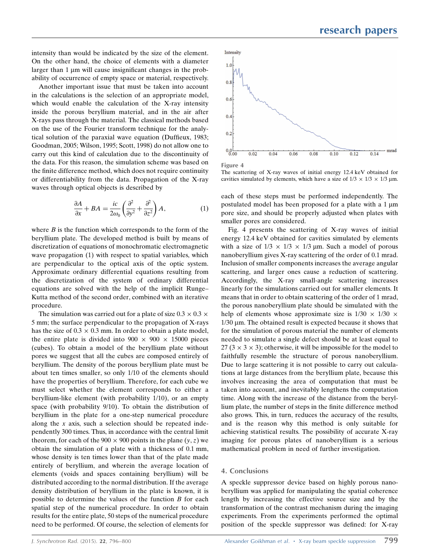intensity than would be indicated by the size of the element. On the other hand, the choice of elements with a diameter larger than  $1 \mu m$  will cause insignificant changes in the probability of occurrence of empty space or material, respectively.

Another important issue that must be taken into account in the calculations is the selection of an appropriate model, which would enable the calculation of the X-ray intensity inside the porous beryllium material, and in the air after X-rays pass through the material. The classical methods based on the use of the Fourier transform technique for the analytical solution of the paraxial wave equation (Duffieux, 1983; Goodman, 2005; Wilson, 1995; Scott, 1998) do not allow one to carry out this kind of calculation due to the discontinuity of the data. For this reason, the simulation scheme was based on the finite difference method, which does not require continuity or differentiability from the data. Propagation of the X-ray waves through optical objects is described by

$$
\frac{\partial A}{\partial x} + BA = \frac{ic}{2\omega_0} \left( \frac{\partial^2}{\partial y^2} + \frac{\partial^2}{\partial z^2} \right) A,\tag{1}
$$

where  $B$  is the function which corresponds to the form of the beryllium plate. The developed method is built by means of discretization of equations of monochromatic electromagnetic wave propagation (1) with respect to spatial variables, which are perpendicular to the optical axis of the optic system. Approximate ordinary differential equations resulting from the discretization of the system of ordinary differential equations are solved with the help of the implicit Runge– Kutta method of the second order, combined with an iterative procedure.

The simulation was carried out for a plate of size  $0.3 \times 0.3 \times$ 5 mm; the surface perpendicular to the propagation of X-rays has the size of  $0.3 \times 0.3$  mm. In order to obtain a plate model, the entire plate is divided into  $900 \times 900 \times 15000$  pieces (cubes). To obtain a model of the beryllium plate without pores we suggest that all the cubes are composed entirely of beryllium. The density of the porous beryllium plate must be about ten times smaller, so only 1/10 of the elements should have the properties of beryllium. Therefore, for each cube we must select whether the element corresponds to either a beryllium-like element (with probability 1/10), or an empty space (with probability 9/10). To obtain the distribution of beryllium in the plate for a one-step numerical procedure along the  $x$  axis, such a selection should be repeated independently 300 times. Thus, in accordance with the central limit theorem, for each of the  $900 \times 900$  points in the plane  $(y, z)$  we obtain the simulation of a plate with a thickness of 0.1 mm, whose density is ten times lower than that of the plate made entirely of beryllium, and wherein the average location of elements (voids and spaces containing beryllium) will be distributed according to the normal distribution. If the average density distribution of beryllium in the plate is known, it is possible to determine the values of the function  $B$  for each spatial step of the numerical procedure. In order to obtain results for the entire plate, 50 steps of the numerical procedure need to be performed. Of course, the selection of elements for



The scattering of X-ray waves of initial energy 12.4 keV obtained for cavities simulated by elements, which have a size of  $1/3 \times 1/3 \times 1/3$  µm.

each of these steps must be performed independently. The postulated model has been proposed for a plate with a  $1 \mu m$ pore size, and should be properly adjusted when plates with smaller pores are considered.

Fig. 4 presents the scattering of X-ray waves of initial energy 12.4 keV obtained for cavities simulated by elements with a size of  $1/3 \times 1/3 \times 1/3$  µm. Such a model of porous nanoberyllium gives X-ray scattering of the order of 0.1 mrad. Inclusion of smaller components increases the average angular scattering, and larger ones cause a reduction of scattering. Accordingly, the X-ray small-angle scattering increases linearly for the simulations carried out for smaller elements. It means that in order to obtain scattering of the order of 1 mrad, the porous nanoberyllium plate should be simulated with the help of elements whose approximate size is  $1/30 \times 1/30 \times$  $1/30 \mu$ m. The obtained result is expected because it shows that for the simulation of porous material the number of elements needed to simulate a single defect should be at least equal to 27 ( $3 \times 3 \times 3$ ); otherwise, it will be impossible for the model to faithfully resemble the structure of porous nanoberyllium. Due to large scattering it is not possible to carry out calculations at large distances from the beryllium plate, because this involves increasing the area of computation that must be taken into account, and inevitably lengthens the computation time. Along with the increase of the distance from the beryllium plate, the number of steps in the finite difference method also grows. This, in turn, reduces the accuracy of the results, and is the reason why this method is only suitable for achieving statistical results. The possibility of accurate X-ray imaging for porous plates of nanoberyllium is a serious mathematical problem in need of further investigation.

### 4. Conclusions

A speckle suppressor device based on highly porous nanoberyllium was applied for manipulating the spatial coherence length by increasing the effective source size and by the transformation of the contrast mechanism during the imaging experiments. From the experiments performed the optimal position of the speckle suppressor was defined: for X-ray